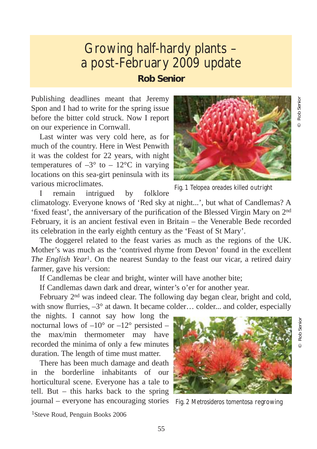## Growing half-hardy plants – a post-February 2009 update **Rob Senior**

Publishing deadlines meant that Jeremy Spon and I had to write for the spring issue before the bitter cold struck. Now I report on our experience in Cornwall.

Last winter was very cold here, as for much of the country. Here in West Penwith it was the coldest for 22 years, with night temperatures of  $-3^\circ$  to  $-12^\circ$ C in varying locations on this sea-girt peninsula with its various microclimates.



Fig. 1 *Telopea oreades* killed outright

I remain intrigued by folklore

climatology. Everyone knows of 'Red sky at night...', but what of Candlemas? A 'fixed feast', the anniversary of the purification of the Blessed Virgin Mary on 2nd February, it is an ancient festival even in Britain – the Venerable Bede recorded its celebration in the early eighth century as the 'Feast of St Mary'.

The doggerel related to the feast varies as much as the regions of the UK. Mother's was much as the 'contrived rhyme from Devon' found in the excellent *The English Year*<sup>1</sup>. On the nearest Sunday to the feast our vicar, a retired dairy farmer, gave his version:

If Candlemas be clear and bright, winter will have another bite;

If Candlemas dawn dark and drear, winter's o'er for another year.

February 2nd was indeed clear. The following day began clear, bright and cold, with snow flurries,  $-3^{\circ}$  at dawn. It became colder... colder... and colder, especially

the nights. I cannot say how long the nocturnal lows of  $-10^{\circ}$  or  $-12^{\circ}$  persisted – the max/min thermometer may have recorded the minima of only a few minutes duration. The length of time must matter.

There has been much damage and death in the borderline inhabitants of our horticultural scene. Everyone has a tale to tell. But – this harks back to the spring journal – everyone has encouraging stories



Fig. 2 *Metrosideros tomentosa* regrowing

© Rob Senior Rob Senior

© Rob Senior

**Rob Senior** 

1Steve Roud, Penguin Books 2006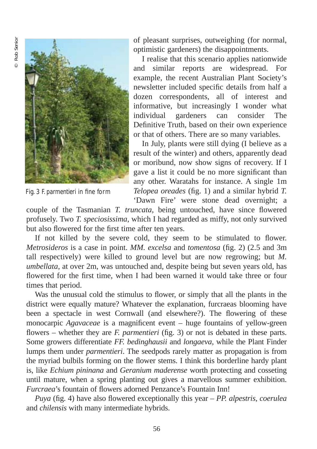

Fig. 3 *F. parmentieri* in fine form

of pleasant surprises, outweighing (for normal, optimistic gardeners) the disappointments.

I realise that this scenario applies nationwide and similar reports are widespread. For example, the recent Australian Plant Society's newsletter included specific details from half a dozen correspondents, all of interest and informative, but increasingly I wonder what individual gardeners can consider The Definitive Truth, based on their own experience or that of others. There are so many variables.

In July, plants were still dying (I believe as a result of the winter) and others, apparently dead or moribund, now show signs of recovery. If I gave a list it could be no more significant than any other. Waratahs for instance. A single 1m *Telopea oreades* (fig. 1) and a similar hybrid *T.* 'Dawn Fire' were stone dead overnight; a

couple of the Tasmanian *T. truncata*, being untouched, have since flowered profusely. Two *T. speciosissima*, which I had regarded as miffy, not only survived but also flowered for the first time after ten years.

If not killed by the severe cold, they seem to be stimulated to flower. *Metrosideros* is a case in point. *MM. excelsa* and *tomentosa* (fig. 2) (2.5 and 3m tall respectively) were killed to ground level but are now regrowing; but *M. umbellata*, at over 2m, was untouched and, despite being but seven years old, has flowered for the first time, when I had been warned it would take three or four times that period.

Was the unusual cold the stimulus to flower, or simply that all the plants in the district were equally mature? Whatever the explanation, furcraeas blooming have been a spectacle in west Cornwall (and elsewhere?). The flowering of these monocarpic *Agavaceae* is a magnificent event – huge fountains of yellow-green flowers – whether they are *F. parmentieri* (fig. 3) or not is debated in these parts. Some growers differentiate *FF. bedinghausii* and *longaeva*, while the Plant Finder lumps them under *parmentieri*. The seedpods rarely matter as propagation is from the myriad bulbils forming on the flower stems. I think this borderline hardy plant is, like *Echium pininana* and *Geranium maderense* worth protecting and cosseting until mature, when a spring planting out gives a marvellous summer exhibition. *Furcraea*'s fountain of flowers adorned Penzance's Fountain Inn!

*Puya* (fig. 4) have also flowered exceptionally this year – *PP. alpestris*, *coerulea* and *chilensis* with many intermediate hybrids.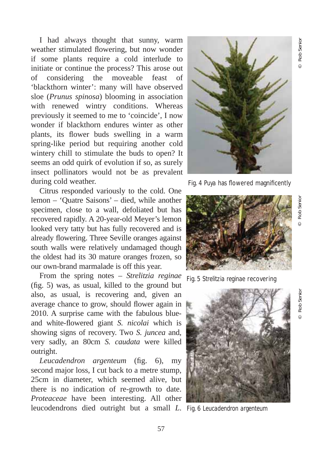I had always thought that sunny, warm weather stimulated flowering, but now wonder if some plants require a cold interlude to initiate or continue the process? This arose out of considering the moveable feast of 'blackthorn winter': many will have observed sloe (*Prunus spinosa*) blooming in association with renewed wintry conditions. Whereas previously it seemed to me to 'coincide', I now wonder if blackthorn endures winter as other plants, its flower buds swelling in a warm spring-like period but requiring another cold wintery chill to stimulate the buds to open? It seems an odd quirk of evolution if so, as surely insect pollinators would not be as prevalent during cold weather.

Citrus responded variously to the cold. One lemon – 'Quatre Saisons' – died, while another specimen, close to a wall, defoliated but has recovered rapidly. A 20-year-old Meyer's lemon looked very tatty but has fully recovered and is already flowering. Three Seville oranges against south walls were relatively undamaged though the oldest had its 30 mature oranges frozen, so our own-brand marmalade is off this year.

From the spring notes – *Strelitzia reginae* (fig. 5) was, as usual, killed to the ground but also, as usual, is recovering and, given an average chance to grow, should flower again in 2010. A surprise came with the fabulous blueand white-flowered giant *S. nicolai* which is showing signs of recovery. Two *S. juncea* and, very sadly, an 80cm *S. caudata* were killed outright.

*Leucadendron argenteum* (fig. 6), my second major loss, I cut back to a metre stump, 25cm in diameter, which seemed alive, but there is no indication of re-growth to date. *Proteaceae* have been interesting. All other leucodendrons died outright but a small *L*. Fig. 6 *Leucadendron argenteum*



Fig. 4 *Puya* has flowered magnificently



Fig. 5 *Strelitzia reginae* recovering



© Rob Senior

Rob Senior